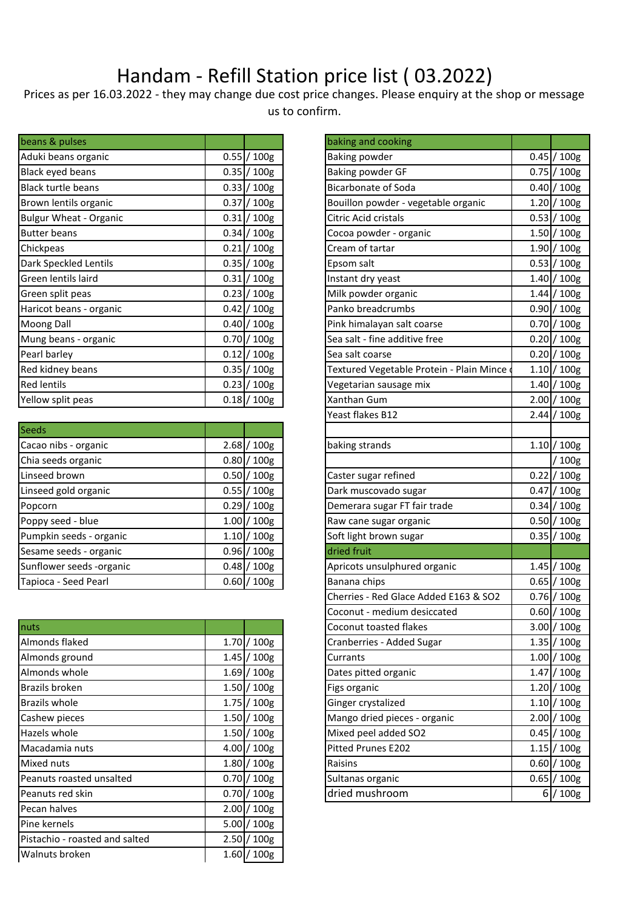## Handam - Refill Station price list ( 03.2022)

Prices as per 16.03.2022 - they may change due cost price changes. Please enquiry at the shop or message us to confirm.

| beans & pulses                |      |                  | baking and cooking                       |       |             |
|-------------------------------|------|------------------|------------------------------------------|-------|-------------|
| Aduki beans organic           |      | $0.55$ / $100g$  | Baking powder                            | 0.45L | 100g        |
| Black eyed beans              |      | $0.35$ / $100g$  | Baking powder GF                         |       | 0.75 / 100g |
| <b>Black turtle beans</b>     |      | $0.33$ / $100g$  | <b>Bicarbonate of Soda</b>               | 0.40  | 100g        |
| Brown lentils organic         | 0.37 | / 100g           | Bouillon powder - vegetable organic      | 1.20  | 100g        |
| <b>Bulgur Wheat - Organic</b> | 0.31 | 100 <sub>g</sub> | Citric Acid cristals                     | 0.53  | 100g        |
| <b>Butter beans</b>           |      | 0.34 / 100g      | Cocoa powder - organic                   |       | 1.50 / 100g |
| Chickpeas                     | 0.21 | /100g            | Cream of tartar                          |       | 1.90 / 100g |
| Dark Speckled Lentils         |      | 0.35 / 100g      | Epsom salt                               |       | 0.53 / 100g |
| Green lentils laird           | 0.31 | /100g            | Instant dry yeast                        | 1.40L | 100g        |
| Green split peas              | 0.23 | / 100g           | Milk powder organic                      | 1.44  | 100g        |
| Haricot beans - organic       | 0.42 | $'$ 100g         | Panko breadcrumbs                        | 0.90  | 100g        |
| Moong Dall                    | 0.40 | / 100g           | Pink himalayan salt coarse               | 0.70  | 100g        |
| Mung beans - organic          |      | $0.70 / 100$ g   | Sea salt - fine additive free            | 0.20  | 100g        |
| Pearl barley                  |      | $0.12$ / $100g$  | Sea salt coarse                          | 0.20  | 100g        |
| Red kidney beans              |      | $0.35$ / $100g$  | Textured Vegetable Protein - Plain Mince |       | 1.10 / 100g |
| <b>Red lentils</b>            | 0.23 | / 100g           | Vegetarian sausage mix                   | 1.40  | 100g        |
| Yellow split peas             |      | 0.18 / 100g      | Xanthan Gum                              |       | 2.00 / 100g |

| Seeds                    |      |                 |                              |      |  |
|--------------------------|------|-----------------|------------------------------|------|--|
| Cacao nibs - organic     |      | $2.68$ / $100g$ | baking strands               | 1.10 |  |
| Chia seeds organic       | 0.80 | $/100$ g        |                              |      |  |
| Linseed brown            | 0.50 | / 100g          | Caster sugar refined         | 0.22 |  |
| Linseed gold organic     |      | $0.55$ / $100g$ | Dark muscovado sugar         | 0.47 |  |
| Popcorn                  | 0.29 | / 100g          | Demerara sugar FT fair trade | 0.34 |  |
| Poppy seed - blue        | 1.00 | '100g           | Raw cane sugar organic       | 0.50 |  |
| Pumpkin seeds - organic  |      | $1.10$ / $100g$ | Soft light brown sugar       | 0.35 |  |
| Sesame seeds - organic   | 0.96 | /100g           | dried fruit                  |      |  |
| Sunflower seeds -organic | 0.48 | / 100g          | Apricots unsulphured organic | 1.45 |  |
| Tapioca - Seed Pearl     |      | $0.60$ / $100g$ | Banana chips                 | 0.65 |  |

| nuts                           |       |                  | Coconut toasted flakes       | 3.00   | 100g |
|--------------------------------|-------|------------------|------------------------------|--------|------|
| Almonds flaked                 | 1.70  | / 100g           | Cranberries - Added Sugar    | 1.35   | 100g |
| Almonds ground                 |       | 1.45 / 100g      | Currants                     | 1.00   | 100g |
| Almonds whole                  |       | 1.69 / 100g      | Dates pitted organic         | 1.47   | 100g |
| Brazils broken                 | 1.50  | $/100$ g         | Figs organic                 | 1.20   | 100g |
| Brazils whole                  |       | $1.75$ $/ 100$ g | Ginger crystalized           | 1.10   | 100g |
| Cashew pieces                  |       | $1.50$  / $100g$ | Mango dried pieces - organic | 2.00   | 100g |
| Hazels whole                   |       | $1.50$ / $100g$  | Mixed peel added SO2         | 0.451/ | 100g |
| Macadamia nuts                 | 4.00l | / 100g           | <b>Pitted Prunes E202</b>    | 1.15   | 100g |
| Mixed nuts                     | 1.80  | /100g            | Raisins                      | 0.60   | 100g |
| Peanuts roasted unsalted       |       | $0.70$ / $100g$  | Sultanas organic             | 0.65   | 100g |
| Peanuts red skin               | 0.70  | / 100g           | dried mushroom               | 61     | 100g |
| Pecan halves                   | 2.00  | $/100$ g         |                              |        |      |
| Pine kernels                   | 5.00  | / 100g           |                              |        |      |
| Pistachio - roasted and salted |       | $2.50$ / $100g$  |                              |        |      |
| Walnuts broken                 |       | $1.60$  / $100g$ |                              |        |      |
|                                |       |                  |                              |        |      |

| baking and cooking                       |      |                  |
|------------------------------------------|------|------------------|
| <b>Baking powder</b>                     |      | 0.45 / 100g      |
| Baking powder GF                         |      | 0.75 / 100g      |
| <b>Bicarbonate of Soda</b>               |      | $0.40 / 100$ g   |
| Bouillon powder - vegetable organic      |      | 1.20 / 100g      |
| Citric Acid cristals                     |      | 0.53 / 100g      |
| Cocoa powder - organic                   |      | 1.50 / 100g      |
| Cream of tartar                          |      | 1.90 / 100g      |
| Epsom salt                               |      | 0.53 / 100g      |
| Instant dry yeast                        |      | 1.40 / 100g      |
| Milk powder organic                      |      | 1.44 / 100g      |
| Panko breadcrumbs                        |      | 0.90 / 100g      |
| Pink himalayan salt coarse               |      | 0.70 / 100g      |
| Sea salt - fine additive free            |      | 0.20 / 100g      |
| Sea salt coarse                          |      | 0.20 / 100g      |
| Textured Vegetable Protein - Plain Mince |      | $1.10 / 100$ g   |
| Vegetarian sausage mix                   |      | $1.40 / 100$ g   |
| Xanthan Gum                              |      | $2.00 / 100$ g   |
| Yeast flakes B12                         | 2.44 | /100g            |
|                                          |      |                  |
| baking strands                           |      | 1.10 / 100g      |
|                                          |      | /100g            |
| Caster sugar refined                     |      | 0.22 / 100g      |
| Dark muscovado sugar                     |      | 0.47 / 100g      |
| Demerara sugar FT fair trade             |      | 0.34 / 100g      |
| Raw cane sugar organic                   |      | 0.50 / 100g      |
| Soft light brown sugar                   |      | 0.35 / 100g      |
| dried fruit                              |      |                  |
| Apricots unsulphured organic             | 1.45 | /100g            |
| Banana chips                             |      | 0.65 / 100g      |
| Cherries - Red Glace Added E163 & SO2    |      | 0.76 / 100g      |
| Coconut - medium desiccated              |      | $0.60 / 100$ g   |
| Coconut toasted flakes                   | 3.00 | / 100g           |
| Cranberries - Added Sugar                | 1.35 | 100g             |
| Currants                                 | 1.00 | 100g             |
| Dates pitted organic                     | 1.47 | / 100g           |
| Figs organic                             | 1.20 | 100g             |
| Ginger crystalized                       | 1.10 | 100g             |
| Mango dried pieces - organic             | 2.00 | / 100g           |
| Mixed peel added SO2                     | 0.45 | / 100g           |
| Pitted Prunes E202                       | 1.15 | / 100g           |
| Raisins                                  | 0.60 | 100 <sub>g</sub> |
| Sultanas organic                         | 0.65 | 100g             |
| dried mushroom                           | 6    | 100g             |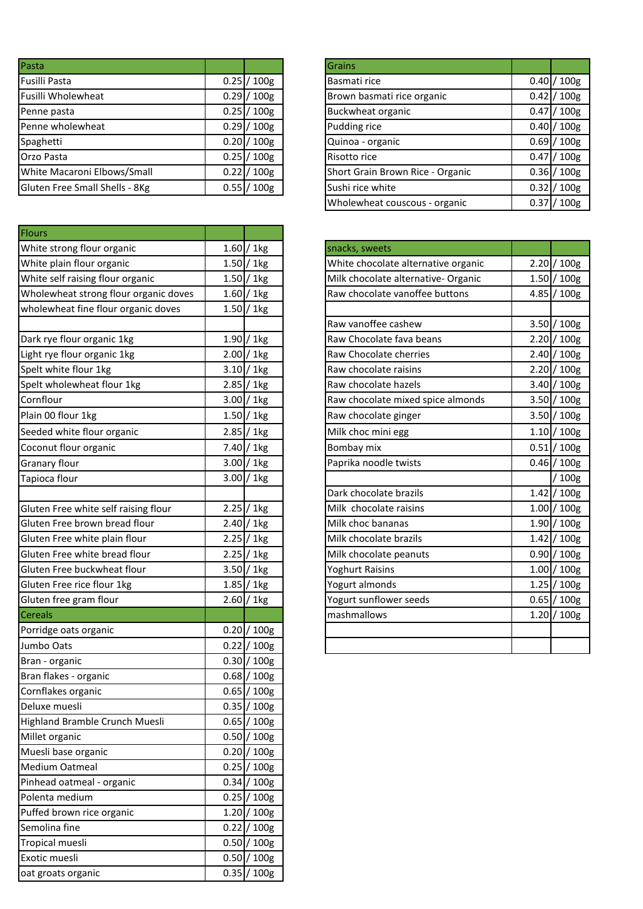| Pasta                          |                 | Grains                           |        |       |
|--------------------------------|-----------------|----------------------------------|--------|-------|
| Fusilli Pasta                  | $0.25$ / $100g$ | Basmati rice                     | 0.40   | 100g  |
| Fusilli Wholewheat             | $0.29$ / $100g$ | Brown basmati rice organic       | 0.42   | 100g  |
| Penne pasta                    | $0.25$ / $100g$ | Buckwheat organic                | 0.47   | 100g  |
| Penne wholewheat               | $0.29$ / $100g$ | Pudding rice                     | 0.40   | 100g  |
| Spaghetti                      | $0.20$ / $100g$ | Quinoa - organic                 | 0.691/ | 100g  |
| <b>Orzo Pasta</b>              | $0.25$ / 100g   | Risotto rice                     | 0.47   | 100g  |
| White Macaroni Elbows/Small    | $0.22$ / $100g$ | Short Grain Brown Rice - Organic | 0.36   | '100g |
| Gluten Free Small Shells - 8Kg | 0.55 / 100g     | Sushi rice white                 | 0.321  | 100g  |

| Flours                                |                 |
|---------------------------------------|-----------------|
| White strong flour organic            | $1.60$ / 1kg    |
| White plain flour organic             | $1.50$ / 1kg    |
| White self raising flour organic      | $1.50$ / 1kg    |
| Wholewheat strong flour organic doves | $1.60$ / 1kg    |
| wholewheat fine flour organic doves   | $1.50$ / 1kg    |
|                                       |                 |
| Dark rye flour organic 1kg            | $1.90 / 1$ kg   |
| Light rye flour organic 1kg           | $2.00$ / 1kg    |
| Spelt white flour 1kg                 | $3.10$ / 1kg    |
| Spelt wholewheat flour 1kg            | $2.85 / 1$ kg   |
| Cornflour                             | $3.00 / 1$ kg   |
| Plain 00 flour 1kg                    | $1.50$ / 1kg    |
| Seeded white flour organic            | $2.85 / 1$ kg   |
| Coconut flour organic                 | $7.40 / 1$ kg   |
| <b>Granary flour</b>                  | $3.00 / 1$ kg   |
| Tapioca flour                         | $3.00$ / 1kg    |
|                                       |                 |
| Gluten Free white self raising flour  | $2.25$ / 1kg    |
| Gluten Free brown bread flour         | $2.40$ / 1kg    |
| Gluten Free white plain flour         | $2.25$ / 1kg    |
| Gluten Free white bread flour         | $2.25$ / 1kg    |
| Gluten Free buckwheat flour           | $3.50$ / 1kg    |
| Gluten Free rice flour 1kg            | $1.85$ / 1kg    |
| Gluten free gram flour                | $2.60 / 1$ kg   |
| <b>Cereals</b>                        |                 |
| Porridge oats organic                 | $0.20$ / $100g$ |
| Jumbo Oats                            | $0.22$ / $100g$ |
| Bran - organic                        | $0.30$ / $100g$ |
| Bran flakes - organic                 | 0.68 / 100g     |
| Cornflakes organic                    | $0.65$ / $100g$ |
| Deluxe muesli                         | 0.35 / 100g     |
| Highland Bramble Crunch Muesli        | $0.65$ / $100g$ |
| Millet organic                        | 0.50 / 100g     |
| Muesli base organic                   | $0.20$ / $100g$ |
| <b>Medium Oatmeal</b>                 | $0.25$ / 100g   |
| Pinhead oatmeal - organic             | 0.34 / 100g     |
| Polenta medium                        | $0.25$ / $100g$ |
| Puffed brown rice organic             | 1.20 / 100g     |
| Semolina fine                         | $0.22$ / $100g$ |
|                                       |                 |
| Tropical muesli                       | $0.50$ / $100g$ |
| Exotic muesli                         | $0.50$ / $100g$ |
| oat groats organic                    | $0.35$ / $100g$ |

| <b>Grains</b>                    |      |                  |
|----------------------------------|------|------------------|
| Basmati rice                     |      | $0.40 / 100$ g   |
| Brown basmati rice organic       |      | $0.42 / 100$ g   |
| Buckwheat organic                |      | 0.47 / 100g      |
| Pudding rice                     |      | $0.40 / 100$ g   |
| Quinoa - organic                 |      | 0.69 / 100g      |
| Risotto rice                     |      | 0.47 / 100g      |
| Short Grain Brown Rice - Organic |      | $0.36 / 100$ g   |
| Sushi rice white                 |      | 0.32 / 100g      |
| Wholewheat couscous - organic    | 0.37 | 100 <sub>g</sub> |

| snacks, sweets                      |      |                  |
|-------------------------------------|------|------------------|
| White chocolate alternative organic | 2.20 | /100g            |
| Milk chocolate alternative- Organic |      | $1.50 / 100$ g   |
| Raw chocolate vanoffee buttons      | 4.85 | /100g            |
|                                     |      |                  |
| Raw vanoffee cashew                 |      | 3.50 / 100g      |
| Raw Chocolate fava beans            | 2.20 | 100 <sub>g</sub> |
| Raw Chocolate cherries              | 2.40 | $/100$ g         |
| Raw chocolate raisins               |      | $2.20 / 100$ g   |
| Raw chocolate hazels                | 3.40 | /100g            |
| Raw chocolate mixed spice almonds   |      | 3.50 / 100g      |
| Raw chocolate ginger                |      | 3.50 / 100g      |
| Milk choc mini egg                  |      | $1.10 / 100$ g   |
| Bombay mix                          |      | 0.51 / 100g      |
| Paprika noodle twists               | 0.46 | /100g            |
|                                     |      | /100g            |
| Dark chocolate brazils              | 1.42 | /100g            |
| Milk chocolate raisins              | 1.00 | /100g            |
| Milk choc bananas                   | 1.90 | /100g            |
| Milk chocolate brazils              | 1.42 | 100g             |
| Milk chocolate peanuts              | 0.90 | $/100$ g         |
| <b>Yoghurt Raisins</b>              | 1.00 | /100g            |
| Yogurt almonds                      | 1.25 | /100g            |
| Yogurt sunflower seeds              | 0.65 | /100g            |
| mashmallows                         |      | 1.20 / 100g      |
|                                     |      |                  |
|                                     |      |                  |